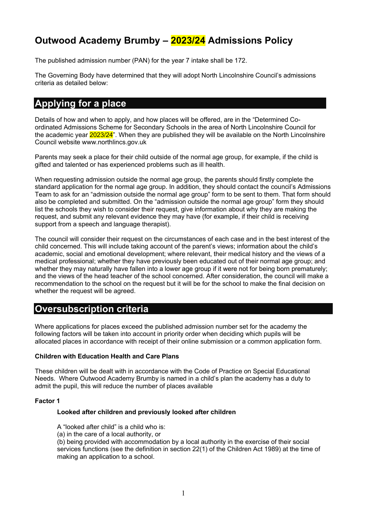# **Outwood Academy Brumby – 2023/24 Admissions Policy**

The published admission number (PAN) for the year 7 intake shall be 172.

The Governing Body have determined that they will adopt North Lincolnshire Council's admissions criteria as detailed below:

# **Applying for a place**

Details of how and when to apply, and how places will be offered, are in the "Determined Coordinated Admissions Scheme for Secondary Schools in the area of North Lincolnshire Council for the academic year 2023/24". When they are published they will be available on the North Lincolnshire Council website www.northlincs.gov.uk

Parents may seek a place for their child outside of the normal age group, for example, if the child is gifted and talented or has experienced problems such as ill health.

When requesting admission outside the normal age group, the parents should firstly complete the standard application for the normal age group. In addition, they should contact the council's Admissions Team to ask for an "admission outside the normal age group" form to be sent to them. That form should also be completed and submitted. On the "admission outside the normal age group" form they should list the schools they wish to consider their request, give information about why they are making the request, and submit any relevant evidence they may have (for example, if their child is receiving support from a speech and language therapist).

The council will consider their request on the circumstances of each case and in the best interest of the child concerned. This will include taking account of the parent's views; information about the child's academic, social and emotional development; where relevant, their medical history and the views of a medical professional; whether they have previously been educated out of their normal age group; and whether they may naturally have fallen into a lower age group if it were not for being born prematurely; and the views of the head teacher of the school concerned. After consideration, the council will make a recommendation to the school on the request but it will be for the school to make the final decision on whether the request will be agreed.

## **Oversubscription criteria**

Where applications for places exceed the published admission number set for the academy the following factors will be taken into account in priority order when deciding which pupils will be allocated places in accordance with receipt of their online submission or a common application form.

#### **Children with Education Health and Care Plans**

These children will be dealt with in accordance with the Code of Practice on Special Educational Needs. Where Outwood Academy Brumby is named in a child's plan the academy has a duty to admit the pupil, this will reduce the number of places available

#### **Factor 1**

#### **Looked after children and previously looked after children**

A "looked after child" is a child who is:

(a) in the care of a local authority, or

(b) being provided with accommodation by a local authority in the exercise of their social services functions (see the definition in section 22(1) of the Children Act 1989) at the time of making an application to a school.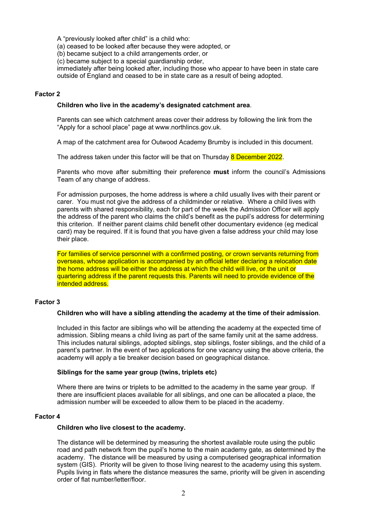A "previously looked after child" is a child who:

(a) ceased to be looked after because they were adopted, or

(b) became subject to a child arrangements order, or

(c) became subject to a special guardianship order,

immediately after being looked after, including those who appear to have been in state care outside of England and ceased to be in state care as a result of being adopted.

#### **Factor 2**

#### **Children who live in the academy's designated catchment area**.

Parents can see which catchment areas cover their address by following the link from the "Apply for a school place" page at www.northlincs.gov.uk.

A map of the catchment area for Outwood Academy Brumby is included in this document.

The address taken under this factor will be that on Thursday 8 December 2022.

Parents who move after submitting their preference **must** inform the council's Admissions Team of any change of address.

For admission purposes, the home address is where a child usually lives with their parent or carer. You must not give the address of a childminder or relative. Where a child lives with parents with shared responsibility, each for part of the week the Admission Officer will apply the address of the parent who claims the child's benefit as the pupil's address for determining this criterion. If neither parent claims child benefit other documentary evidence (eg medical card) may be required. If it is found that you have given a false address your child may lose their place.

For families of service personnel with a confirmed posting, or crown servants returning from overseas, whose application is accompanied by an official letter declaring a relocation date the home address will be either the address at which the child will live, or the unit or quartering address if the parent requests this. Parents will need to provide evidence of the intended address.

#### **Factor 3**

#### **Children who will have a sibling attending the academy at the time of their admission**.

Included in this factor are siblings who will be attending the academy at the expected time of admission. Sibling means a child living as part of the same family unit at the same address. This includes natural siblings, adopted siblings, step siblings, foster siblings, and the child of a parent's partner. In the event of two applications for one vacancy using the above criteria, the academy will apply a tie breaker decision based on geographical distance.

#### **Siblings for the same year group (twins, triplets etc)**

Where there are twins or triplets to be admitted to the academy in the same year group. If there are insufficient places available for all siblings, and one can be allocated a place, the admission number will be exceeded to allow them to be placed in the academy.

#### **Factor 4**

#### **Children who live closest to the academy.**

The distance will be determined by measuring the shortest available route using the public road and path network from the pupil's home to the main academy gate, as determined by the academy. The distance will be measured by using a computerised geographical information system (GIS). Priority will be given to those living nearest to the academy using this system. Pupils living in flats where the distance measures the same, priority will be given in ascending order of flat number/letter/floor.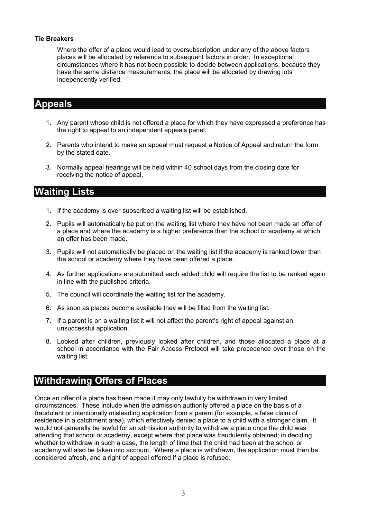#### **Tie Breakers**

Where the offer of a place would lead to oversubscription under any of the above factors places will be allocated by reference to subsequent factors in order. In exceptional circumstances where it has not been possible to decide between applications, because they have the same distance measurements, the place will be allocated by drawing lots independently verified.

# **Appeals**

- 1. Any parent whose child is not offered a place for which they have expressed a preference has the right to appeal to an independent appeals panel.
- 2. Parents who intend to make an appeal must request a Notice of Appeal and return the form by the stated date.
- 3. Normally appeal hearings will be held within 40 school days from the closing date for receiving the notice of appeal.

## **Waiting Lists**

- 1. If the academy is over-subscribed a waiting list will be established.
- 2. Pupils will automatically be put on the waiting list where they have not been made an offer of a place and where the academy is a higher preference than the school or academy at which an offer has been made.
- 3. Pupils will not automatically be placed on the waiting list if the academy is ranked lower than the school or academy where they have been offered a place.
- 4. As further applications are submitted each added child will require the list to be ranked again in line with the published criteria.
- 5. The council will coordinate the waiting list for the academy.
- 6. As soon as places become available they will be filled from the waiting list.
- 7. If a parent is on a waiting list it will not affect the parent's right of appeal against an unsuccessful application.
- 8. Looked after children, previously looked after children, and those allocated a place at a school in accordance with the Fair Access Protocol will take precedence over those on the waiting list.

## **Withdrawing Offers of Places**

Once an offer of a place has been made it may only lawfully be withdrawn in very limited circumstances. These include when the admission authority offered a place on the basis of a fraudulent or intentionally misleading application from a parent (for example, a false claim of residence in a catchment area), which effectively denied a place to a child with a stronger claim. It would not generally be lawful for an admission authority to withdraw a place once the child was attending that school or academy, except where that place was fraudulently obtained; in deciding whether to withdraw in such a case, the length of time that the child had been at the school or academy will also be taken into account. Where a place is withdrawn, the application must then be considered afresh, and a right of appeal offered if a place is refused.